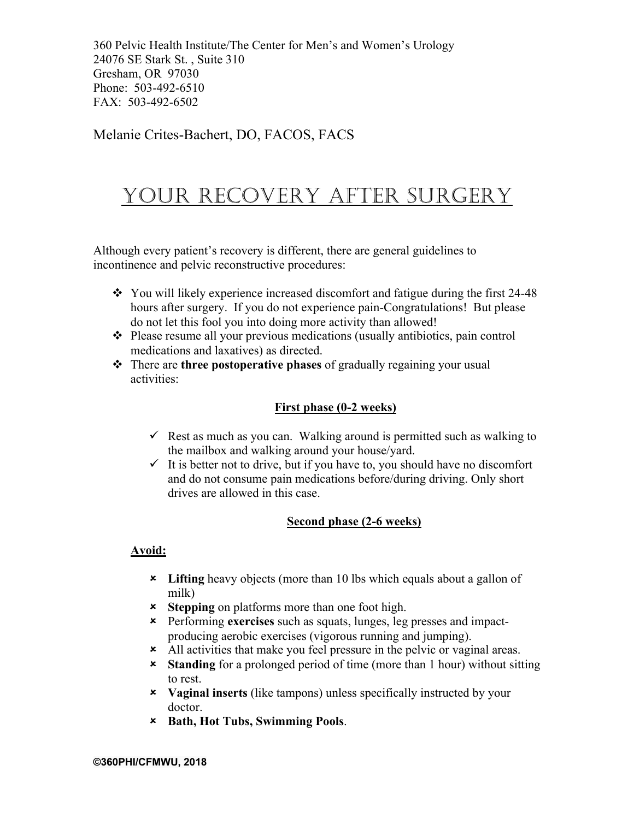#### Melanie Crites-Bachert, DO, FACOS, FACS

# YOUR RECOVERY AFTER SURGERY

Although every patient's recovery is different, there are general guidelines to incontinence and pelvic reconstructive procedures:

- $\cdot$  You will likely experience increased discomfort and fatigue during the first 24-48 hours after surgery. If you do not experience pain-Congratulations! But please do not let this fool you into doing more activity than allowed!
- \* Please resume all your previous medications (usually antibiotics, pain control medications and laxatives) as directed.
- \* There are **three postoperative phases** of gradually regaining your usual activities:

#### **First phase (0-2 weeks)**

- $\checkmark$  Rest as much as you can. Walking around is permitted such as walking to the mailbox and walking around your house/yard.
- $\checkmark$  It is better not to drive, but if you have to, you should have no discomfort and do not consume pain medications before/during driving. Only short drives are allowed in this case.

#### **Second phase (2-6 weeks)**

#### **Avoid:**

- û **Lifting** heavy objects (more than 10 lbs which equals about a gallon of milk)
- **x** Stepping on platforms more than one foot high.
- û Performing **exercises** such as squats, lunges, leg presses and impactproducing aerobic exercises (vigorous running and jumping).
- \* All activities that make you feel pressure in the pelvic or vaginal areas.
- û **Standing** for a prolonged period of time (more than 1 hour) without sitting to rest.
- û **Vaginal inserts** (like tampons) unless specifically instructed by your doctor.
- û **Bath, Hot Tubs, Swimming Pools**.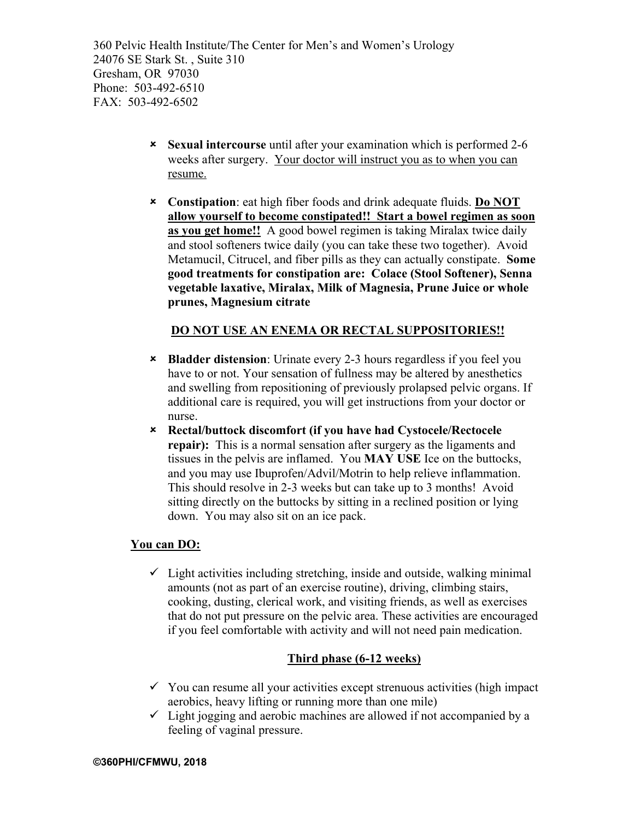- û **Sexual intercourse** until after your examination which is performed 2-6 weeks after surgery. Your doctor will instruct you as to when you can resume.
- û **Constipation**: eat high fiber foods and drink adequate fluids. **Do NOT allow yourself to become constipated!! Start a bowel regimen as soon as you get home!!** A good bowel regimen is taking Miralax twice daily and stool softeners twice daily (you can take these two together). Avoid Metamucil, Citrucel, and fiber pills as they can actually constipate. **Some good treatments for constipation are: Colace (Stool Softener), Senna vegetable laxative, Miralax, Milk of Magnesia, Prune Juice or whole prunes, Magnesium citrate**

#### **DO NOT USE AN ENEMA OR RECTAL SUPPOSITORIES!!**

- û **Bladder distension**: Urinate every 2-3 hours regardless if you feel you have to or not. Your sensation of fullness may be altered by anesthetics and swelling from repositioning of previously prolapsed pelvic organs. If additional care is required, you will get instructions from your doctor or nurse.
- û **Rectal/buttock discomfort (if you have had Cystocele/Rectocele repair):** This is a normal sensation after surgery as the ligaments and tissues in the pelvis are inflamed. You **MAY USE** Ice on the buttocks, and you may use Ibuprofen/Advil/Motrin to help relieve inflammation. This should resolve in 2-3 weeks but can take up to 3 months! Avoid sitting directly on the buttocks by sitting in a reclined position or lying down. You may also sit on an ice pack.

#### **You can DO:**

 $\checkmark$  Light activities including stretching, inside and outside, walking minimal amounts (not as part of an exercise routine), driving, climbing stairs, cooking, dusting, clerical work, and visiting friends, as well as exercises that do not put pressure on the pelvic area. These activities are encouraged if you feel comfortable with activity and will not need pain medication.

#### **Third phase (6-12 weeks)**

- $\checkmark$  You can resume all your activities except strenuous activities (high impact aerobics, heavy lifting or running more than one mile)
- $\checkmark$  Light jogging and aerobic machines are allowed if not accompanied by a feeling of vaginal pressure.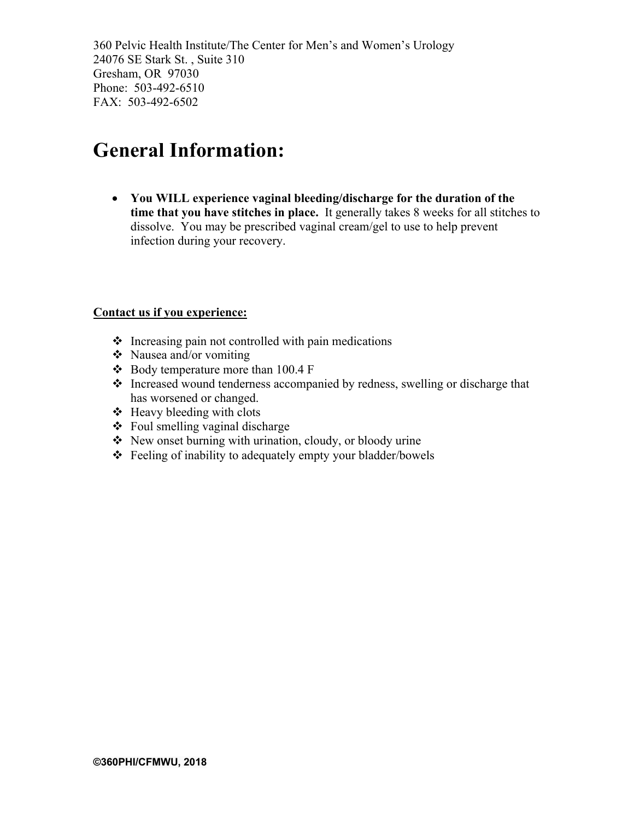### **General Information:**

• **You WILL experience vaginal bleeding/discharge for the duration of the time that you have stitches in place.** It generally takes 8 weeks for all stitches to dissolve. You may be prescribed vaginal cream/gel to use to help prevent infection during your recovery.

#### **Contact us if you experience:**

- $\cdot$  Increasing pain not controlled with pain medications
- $\bullet$  Nausea and/or vomiting
- $\div$  Body temperature more than 100.4 F
- $\triangle$  Increased wound tenderness accompanied by redness, swelling or discharge that has worsened or changed.
- $\triangleleft$  Heavy bleeding with clots
- $\div$  Foul smelling vaginal discharge
- $\triangle$  New onset burning with urination, cloudy, or bloody urine
- $\triangle$  Feeling of inability to adequately empty your bladder/bowels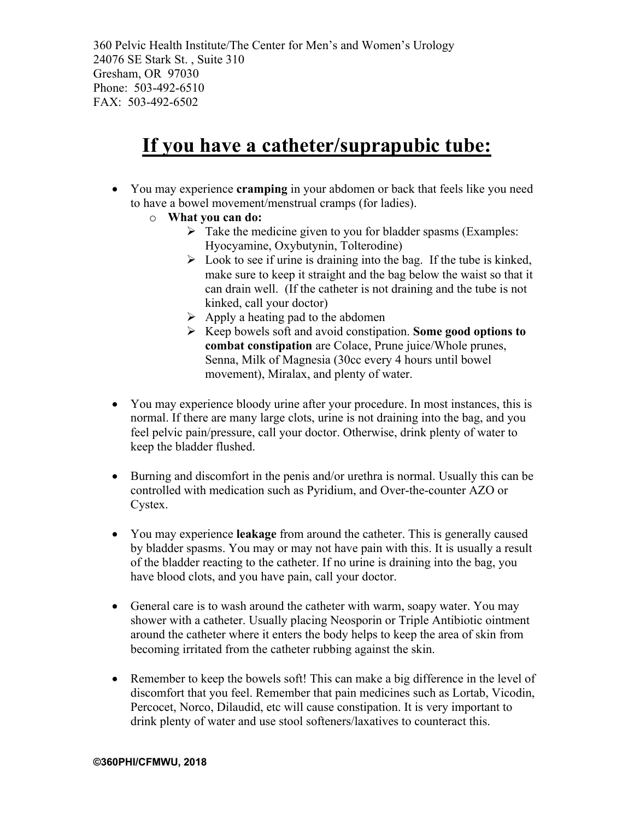## **If you have a catheter/suprapubic tube:**

- You may experience **cramping** in your abdomen or back that feels like you need to have a bowel movement/menstrual cramps (for ladies).
	- o **What you can do:**
		- $\triangleright$  Take the medicine given to you for bladder spasms (Examples: Hyocyamine, Oxybutynin, Tolterodine)
		- $\triangleright$  Look to see if urine is draining into the bag. If the tube is kinked, make sure to keep it straight and the bag below the waist so that it can drain well. (If the catheter is not draining and the tube is not kinked, call your doctor)
		- $\triangleright$  Apply a heating pad to the abdomen
		- Ø Keep bowels soft and avoid constipation. **Some good options to combat constipation** are Colace, Prune juice/Whole prunes, Senna, Milk of Magnesia (30cc every 4 hours until bowel movement), Miralax, and plenty of water.
- You may experience bloody urine after your procedure. In most instances, this is normal. If there are many large clots, urine is not draining into the bag, and you feel pelvic pain/pressure, call your doctor. Otherwise, drink plenty of water to keep the bladder flushed.
- Burning and discomfort in the penis and/or urethra is normal. Usually this can be controlled with medication such as Pyridium, and Over-the-counter AZO or Cystex.
- You may experience **leakage** from around the catheter. This is generally caused by bladder spasms. You may or may not have pain with this. It is usually a result of the bladder reacting to the catheter. If no urine is draining into the bag, you have blood clots, and you have pain, call your doctor.
- General care is to wash around the catheter with warm, soapy water. You may shower with a catheter. Usually placing Neosporin or Triple Antibiotic ointment around the catheter where it enters the body helps to keep the area of skin from becoming irritated from the catheter rubbing against the skin.
- Remember to keep the bowels soft! This can make a big difference in the level of discomfort that you feel. Remember that pain medicines such as Lortab, Vicodin, Percocet, Norco, Dilaudid, etc will cause constipation. It is very important to drink plenty of water and use stool softeners/laxatives to counteract this.